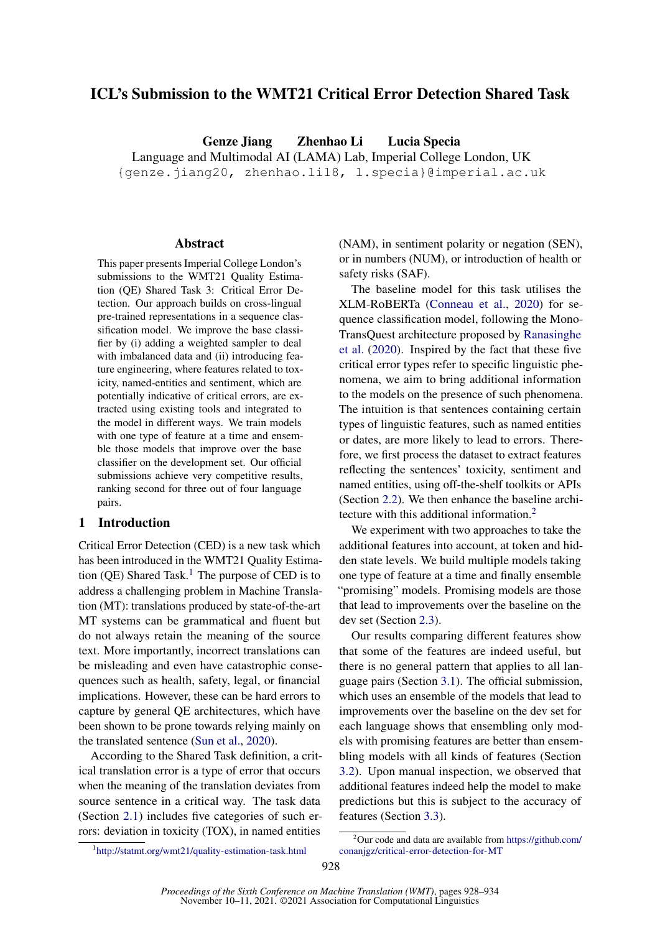# ICL's Submission to the WMT21 Critical Error Detection Shared Task

Genze Jiang Zhenhao Li Lucia Specia Language and Multimodal AI (LAMA) Lab, Imperial College London, UK {genze.jiang20, zhenhao.li18, l.specia}@imperial.ac.uk

#### Abstract

This paper presents Imperial College London's submissions to the WMT21 Quality Estimation (QE) Shared Task 3: Critical Error Detection. Our approach builds on cross-lingual pre-trained representations in a sequence classification model. We improve the base classifier by (i) adding a weighted sampler to deal with imbalanced data and (ii) introducing feature engineering, where features related to toxicity, named-entities and sentiment, which are potentially indicative of critical errors, are extracted using existing tools and integrated to the model in different ways. We train models with one type of feature at a time and ensemble those models that improve over the base classifier on the development set. Our official submissions achieve very competitive results, ranking second for three out of four language pairs.

# 1 Introduction

Critical Error Detection (CED) is a new task which has been introduced in the WMT21 Quality Estima-tion (QE) Shared Task.<sup>[1](#page-0-0)</sup> The purpose of CED is to address a challenging problem in Machine Translation (MT): translations produced by state-of-the-art MT systems can be grammatical and fluent but do not always retain the meaning of the source text. More importantly, incorrect translations can be misleading and even have catastrophic consequences such as health, safety, legal, or financial implications. However, these can be hard errors to capture by general QE architectures, which have been shown to be prone towards relying mainly on the translated sentence [\(Sun et al.,](#page-6-0) [2020\)](#page-6-0).

According to the Shared Task definition, a critical translation error is a type of error that occurs when the meaning of the translation deviates from source sentence in a critical way. The task data (Section [2.1\)](#page-1-0) includes five categories of such errors: deviation in toxicity (TOX), in named entities

(NAM), in sentiment polarity or negation (SEN), or in numbers (NUM), or introduction of health or safety risks (SAF).

The baseline model for this task utilises the XLM-RoBERTa [\(Conneau et al.,](#page-6-1) [2020\)](#page-6-1) for sequence classification model, following the Mono-TransQuest architecture proposed by [Ranasinghe](#page-6-2) [et al.](#page-6-2) [\(2020\)](#page-6-2). Inspired by the fact that these five critical error types refer to specific linguistic phenomena, we aim to bring additional information to the models on the presence of such phenomena. The intuition is that sentences containing certain types of linguistic features, such as named entities or dates, are more likely to lead to errors. Therefore, we first process the dataset to extract features reflecting the sentences' toxicity, sentiment and named entities, using off-the-shelf toolkits or APIs (Section [2.2\)](#page-1-1). We then enhance the baseline architecture with this additional information.[2](#page-0-1)

We experiment with two approaches to take the additional features into account, at token and hidden state levels. We build multiple models taking one type of feature at a time and finally ensemble "promising" models. Promising models are those that lead to improvements over the baseline on the dev set (Section [2.3\)](#page-2-0).

Our results comparing different features show that some of the features are indeed useful, but there is no general pattern that applies to all language pairs (Section [3.1\)](#page-4-0). The official submission, which uses an ensemble of the models that lead to improvements over the baseline on the dev set for each language shows that ensembling only models with promising features are better than ensembling models with all kinds of features (Section [3.2\)](#page-4-1). Upon manual inspection, we observed that additional features indeed help the model to make predictions but this is subject to the accuracy of features (Section [3.3\)](#page-6-3).

<span id="page-0-0"></span><sup>1</sup> <http://statmt.org/wmt21/quality-estimation-task.html>

<span id="page-0-1"></span> $2$ Our code and data are available from [https://github.com/](https://github.com/conanjgz/critical-error-detection-for-MT) [conanjgz/critical-error-detection-for-MT](https://github.com/conanjgz/critical-error-detection-for-MT)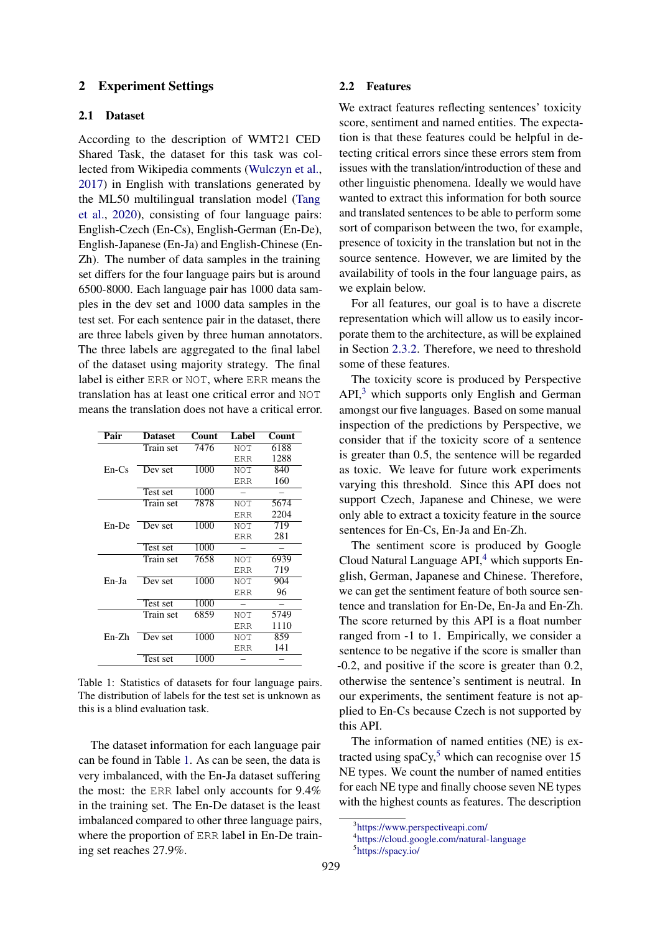# 2 Experiment Settings

# <span id="page-1-0"></span>2.1 Dataset

According to the description of WMT21 CED Shared Task, the dataset for this task was collected from Wikipedia comments [\(Wulczyn et al.,](#page-6-4) [2017\)](#page-6-4) in English with translations generated by the ML50 multilingual translation model [\(Tang](#page-6-5) [et al.,](#page-6-5) [2020\)](#page-6-5), consisting of four language pairs: English-Czech (En-Cs), English-German (En-De), English-Japanese (En-Ja) and English-Chinese (En-Zh). The number of data samples in the training set differs for the four language pairs but is around 6500-8000. Each language pair has 1000 data samples in the dev set and 1000 data samples in the test set. For each sentence pair in the dataset, there are three labels given by three human annotators. The three labels are aggregated to the final label of the dataset using majority strategy. The final label is either ERR or NOT, where ERR means the translation has at least one critical error and NOT means the translation does not have a critical error.

<span id="page-1-2"></span>

| Pair    | <b>Dataset</b> | Count | Label       | Count |
|---------|----------------|-------|-------------|-------|
|         | Train set      | 7476  | NOT         | 6188  |
|         |                |       | ERR         | 1288  |
| $En-Cs$ | Dev set        | 1000  | <b>NOT</b>  | 840   |
|         |                |       | <b>ERR</b>  | 160   |
|         | Test set       | 1000  |             |       |
|         | Train set      | 7878  | <b>NOT</b>  | 5674  |
| En-De   |                |       | <b>ERR</b>  | 2204  |
|         | Dev set        | 1000  | <b>NOT</b>  | 719   |
|         |                |       | <b>ERR</b>  | 281   |
|         | Test set       | 1000  |             |       |
|         | Train set      | 7658  | NOT         | 6939  |
|         |                |       | <b>ERR</b>  | 719   |
| En-Ja   | Dev set        | 1000  | NOT         | 904   |
|         |                |       | ERR         | 96    |
|         | Test set       | 1000  |             |       |
|         | Train set      | 6859  | NOT         | 5749  |
| En-Zh   |                |       | <b>ERR</b>  | 1110  |
|         | Dev set        | 1000  | NOT         | 859   |
|         |                |       | <b>F.RR</b> | 141   |
|         | Test set       | 1000  |             |       |

Table 1: Statistics of datasets for four language pairs. The distribution of labels for the test set is unknown as this is a blind evaluation task.

The dataset information for each language pair can be found in Table [1.](#page-1-2) As can be seen, the data is very imbalanced, with the En-Ja dataset suffering the most: the ERR label only accounts for 9.4% in the training set. The En-De dataset is the least imbalanced compared to other three language pairs, where the proportion of ERR label in En-De training set reaches 27.9%.

#### <span id="page-1-1"></span>2.2 Features

We extract features reflecting sentences' toxicity score, sentiment and named entities. The expectation is that these features could be helpful in detecting critical errors since these errors stem from issues with the translation/introduction of these and other linguistic phenomena. Ideally we would have wanted to extract this information for both source and translated sentences to be able to perform some sort of comparison between the two, for example, presence of toxicity in the translation but not in the source sentence. However, we are limited by the availability of tools in the four language pairs, as we explain below.

For all features, our goal is to have a discrete representation which will allow us to easily incorporate them to the architecture, as will be explained in Section [2.3.2.](#page-2-1) Therefore, we need to threshold some of these features.

The toxicity score is produced by Perspective  $API<sub>1</sub><sup>3</sup>$  $API<sub>1</sub><sup>3</sup>$  $API<sub>1</sub><sup>3</sup>$  which supports only English and German amongst our five languages. Based on some manual inspection of the predictions by Perspective, we consider that if the toxicity score of a sentence is greater than 0.5, the sentence will be regarded as toxic. We leave for future work experiments varying this threshold. Since this API does not support Czech, Japanese and Chinese, we were only able to extract a toxicity feature in the source sentences for En-Cs, En-Ja and En-Zh.

The sentiment score is produced by Google Cloud Natural Language API,<sup>[4](#page-1-4)</sup> which supports English, German, Japanese and Chinese. Therefore, we can get the sentiment feature of both source sentence and translation for En-De, En-Ja and En-Zh. The score returned by this API is a float number ranged from -1 to 1. Empirically, we consider a sentence to be negative if the score is smaller than -0.2, and positive if the score is greater than 0.2, otherwise the sentence's sentiment is neutral. In our experiments, the sentiment feature is not applied to En-Cs because Czech is not supported by this API.

The information of named entities (NE) is extracted using  $\text{spaCy}$ <sup>[5](#page-1-5)</sup> which can recognise over 15 NE types. We count the number of named entities for each NE type and finally choose seven NE types with the highest counts as features. The description

<span id="page-1-3"></span><sup>3</sup> <https://www.perspectiveapi.com/>

<span id="page-1-5"></span><span id="page-1-4"></span><sup>4</sup> <https://cloud.google.com/natural-language>

<sup>5</sup> <https://spacy.io/>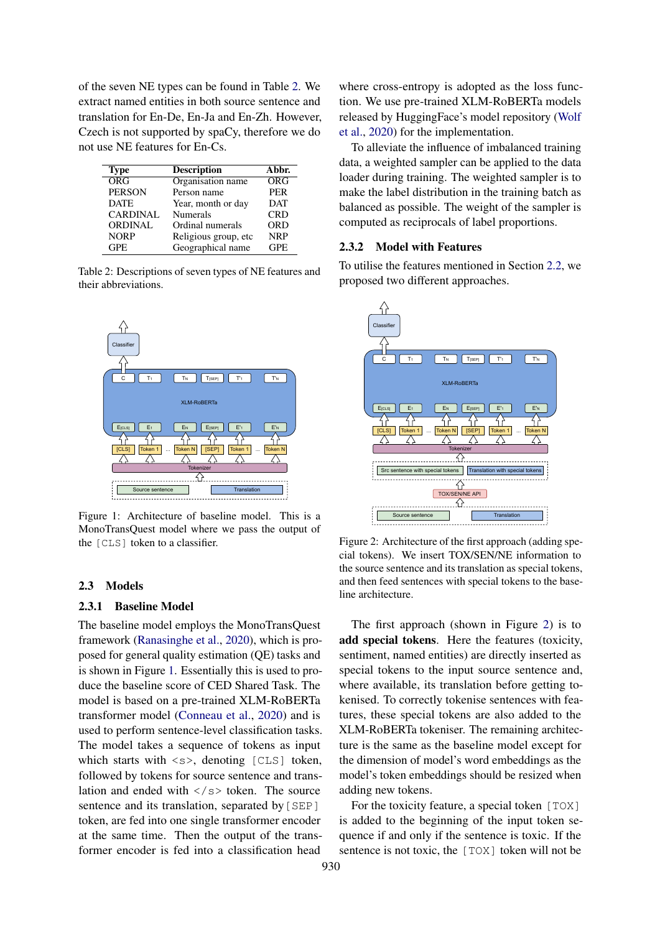of the seven NE types can be found in Table [2.](#page-2-2) We extract named entities in both source sentence and translation for En-De, En-Ja and En-Zh. However, Czech is not supported by spaCy, therefore we do not use NE features for En-Cs.

<span id="page-2-2"></span>

| Type            | <b>Description</b>   | Abbr.      |
|-----------------|----------------------|------------|
| ORG             | Organisation name    | ORG        |
| <b>PERSON</b>   | Person name          | <b>PER</b> |
| <b>DATE</b>     | Year, month or day   | <b>DAT</b> |
| <b>CARDINAL</b> | <b>Numerals</b>      | <b>CRD</b> |
| <b>ORDINAL</b>  | Ordinal numerals     | <b>ORD</b> |
| <b>NORP</b>     | Religious group, etc | <b>NRP</b> |
| GPE.            | Geographical name    | <b>GPE</b> |

Table 2: Descriptions of seven types of NE features and their abbreviations.

<span id="page-2-3"></span>

Figure 1: Architecture of baseline model. This is a MonoTransQuest model where we pass the output of the [CLS] token to a classifier.

#### <span id="page-2-0"></span>2.3 Models

# 2.3.1 Baseline Model

The baseline model employs the MonoTransQuest framework [\(Ranasinghe et al.,](#page-6-2) [2020\)](#page-6-2), which is proposed for general quality estimation (QE) tasks and is shown in Figure [1.](#page-2-3) Essentially this is used to produce the baseline score of CED Shared Task. The model is based on a pre-trained XLM-RoBERTa transformer model [\(Conneau et al.,](#page-6-1) [2020\)](#page-6-1) and is used to perform sentence-level classification tasks. The model takes a sequence of tokens as input which starts with  $\langle s \rangle$ , denoting [CLS] token, followed by tokens for source sentence and translation and ended with  $\langle$ /s $>$  token. The source sentence and its translation, separated by [SEP] token, are fed into one single transformer encoder at the same time. Then the output of the transformer encoder is fed into a classification head

where cross-entropy is adopted as the loss function. We use pre-trained XLM-RoBERTa models released by HuggingFace's model repository [\(Wolf](#page-6-6) [et al.,](#page-6-6) [2020\)](#page-6-6) for the implementation.

To alleviate the influence of imbalanced training data, a weighted sampler can be applied to the data loader during training. The weighted sampler is to make the label distribution in the training batch as balanced as possible. The weight of the sampler is computed as reciprocals of label proportions.

#### <span id="page-2-1"></span>2.3.2 Model with Features

To utilise the features mentioned in Section [2.2,](#page-1-1) we proposed two different approaches.

<span id="page-2-4"></span>

Figure 2: Architecture of the first approach (adding special tokens). We insert TOX/SEN/NE information to the source sentence and its translation as special tokens, and then feed sentences with special tokens to the baseline architecture.

The first approach (shown in Figure [2\)](#page-2-4) is to add special tokens. Here the features (toxicity, sentiment, named entities) are directly inserted as special tokens to the input source sentence and, where available, its translation before getting tokenised. To correctly tokenise sentences with features, these special tokens are also added to the XLM-RoBERTa tokeniser. The remaining architecture is the same as the baseline model except for the dimension of model's word embeddings as the model's token embeddings should be resized when adding new tokens.

For the toxicity feature, a special token [TOX] is added to the beginning of the input token sequence if and only if the sentence is toxic. If the sentence is not toxic, the [TOX] token will not be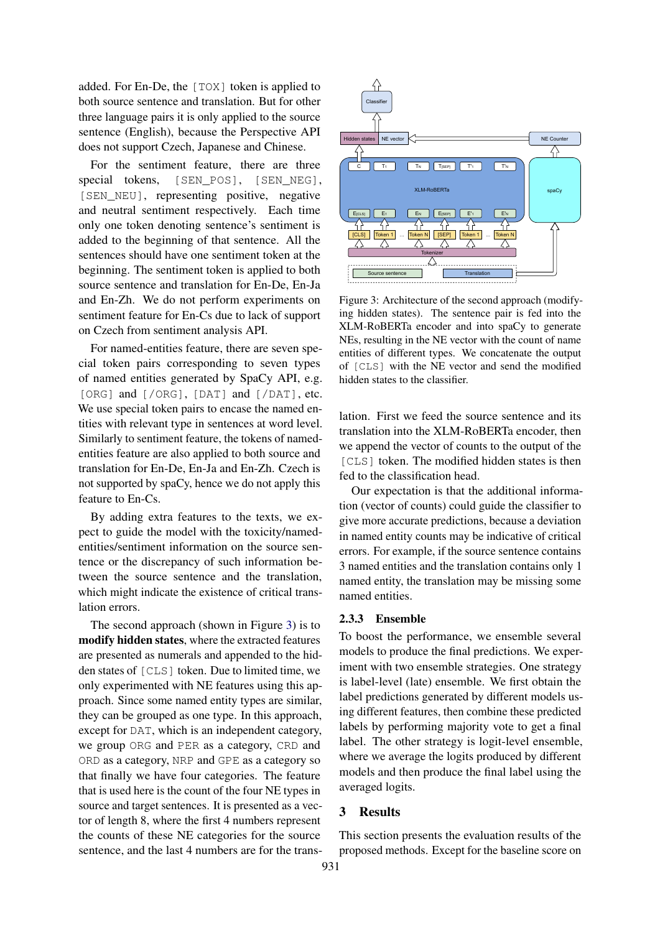added. For En-De, the  $[TOX]$  token is applied to both source sentence and translation. But for other three language pairs it is only applied to the source sentence (English), because the Perspective API does not support Czech, Japanese and Chinese.

For the sentiment feature, there are three special tokens, [SEN\_POS], [SEN\_NEG], [SEN\_NEU], representing positive, negative and neutral sentiment respectively. Each time only one token denoting sentence's sentiment is added to the beginning of that sentence. All the sentences should have one sentiment token at the beginning. The sentiment token is applied to both source sentence and translation for En-De, En-Ja and En-Zh. We do not perform experiments on sentiment feature for En-Cs due to lack of support on Czech from sentiment analysis API.

For named-entities feature, there are seven special token pairs corresponding to seven types of named entities generated by SpaCy API, e.g. [ORG] and [/ORG], [DAT] and [/DAT], etc. We use special token pairs to encase the named entities with relevant type in sentences at word level. Similarly to sentiment feature, the tokens of namedentities feature are also applied to both source and translation for En-De, En-Ja and En-Zh. Czech is not supported by spaCy, hence we do not apply this feature to En-Cs.

By adding extra features to the texts, we expect to guide the model with the toxicity/namedentities/sentiment information on the source sentence or the discrepancy of such information between the source sentence and the translation, which might indicate the existence of critical translation errors.

The second approach (shown in Figure [3\)](#page-3-0) is to modify hidden states, where the extracted features are presented as numerals and appended to the hidden states of [CLS] token. Due to limited time, we only experimented with NE features using this approach. Since some named entity types are similar, they can be grouped as one type. In this approach, except for DAT, which is an independent category, we group ORG and PER as a category, CRD and ORD as a category, NRP and GPE as a category so that finally we have four categories. The feature that is used here is the count of the four NE types in source and target sentences. It is presented as a vector of length 8, where the first 4 numbers represent the counts of these NE categories for the source sentence, and the last 4 numbers are for the trans-

<span id="page-3-0"></span>

Figure 3: Architecture of the second approach (modifying hidden states). The sentence pair is fed into the XLM-RoBERTa encoder and into spaCy to generate NEs, resulting in the NE vector with the count of name entities of different types. We concatenate the output of [CLS] with the NE vector and send the modified hidden states to the classifier.

lation. First we feed the source sentence and its translation into the XLM-RoBERTa encoder, then we append the vector of counts to the output of the [CLS] token. The modified hidden states is then fed to the classification head.

Our expectation is that the additional information (vector of counts) could guide the classifier to give more accurate predictions, because a deviation in named entity counts may be indicative of critical errors. For example, if the source sentence contains 3 named entities and the translation contains only 1 named entity, the translation may be missing some named entities.

# 2.3.3 Ensemble

To boost the performance, we ensemble several models to produce the final predictions. We experiment with two ensemble strategies. One strategy is label-level (late) ensemble. We first obtain the label predictions generated by different models using different features, then combine these predicted labels by performing majority vote to get a final label. The other strategy is logit-level ensemble, where we average the logits produced by different models and then produce the final label using the averaged logits.

# 3 Results

This section presents the evaluation results of the proposed methods. Except for the baseline score on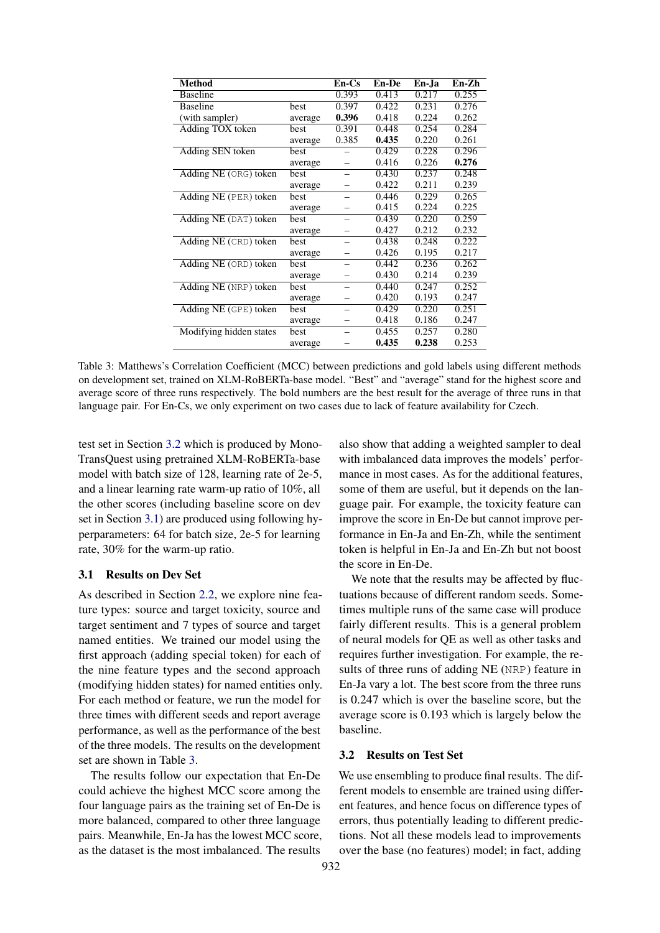<span id="page-4-2"></span>

| <b>Method</b>           |             | $En-Cs$ | En-De | En-Ja | En-Zh |
|-------------------------|-------------|---------|-------|-------|-------|
| <b>Baseline</b>         |             | 0.393   | 0.413 | 0.217 | 0.255 |
| <b>Baseline</b>         | best        | 0.397   | 0.422 | 0.231 | 0.276 |
| (with sampler)          | average     | 0.396   | 0.418 | 0.224 | 0.262 |
| Adding TOX token        | best        | 0.391   | 0.448 | 0.254 | 0.284 |
|                         | average     | 0.385   | 0.435 | 0.220 | 0.261 |
| Adding SEN token        | best        |         | 0.429 | 0.228 | 0.296 |
|                         | average     |         | 0.416 | 0.226 | 0.276 |
| Adding NE (ORG) token   | <b>best</b> |         | 0.430 | 0.237 | 0.248 |
|                         | average     |         | 0.422 | 0.211 | 0.239 |
| Adding NE (PER) token   | best        |         | 0.446 | 0.229 | 0.265 |
|                         | average     |         | 0.415 | 0.224 | 0.225 |
| Adding NE (DAT) token   | <b>best</b> |         | 0.439 | 0.220 | 0.259 |
|                         | average     |         | 0.427 | 0.212 | 0.232 |
| Adding NE (CRD) token   | best        |         | 0.438 | 0.248 | 0.222 |
|                         | average     |         | 0.426 | 0.195 | 0.217 |
| Adding NE (ORD) token   | best        |         | 0.442 | 0.236 | 0.262 |
|                         | average     |         | 0.430 | 0.214 | 0.239 |
| Adding NE (NRP) token   | best        |         | 0.440 | 0.247 | 0.252 |
|                         | average     |         | 0.420 | 0.193 | 0.247 |
| Adding NE (GPE) token   | best        |         | 0.429 | 0.220 | 0.251 |
|                         | average     |         | 0.418 | 0.186 | 0.247 |
| Modifying hidden states | best        |         | 0.455 | 0.257 | 0.280 |
|                         | average     |         | 0.435 | 0.238 | 0.253 |

Table 3: Matthews's Correlation Coefficient (MCC) between predictions and gold labels using different methods on development set, trained on XLM-RoBERTa-base model. "Best" and "average" stand for the highest score and average score of three runs respectively. The bold numbers are the best result for the average of three runs in that language pair. For En-Cs, we only experiment on two cases due to lack of feature availability for Czech.

test set in Section [3.2](#page-4-1) which is produced by Mono-TransQuest using pretrained XLM-RoBERTa-base model with batch size of 128, learning rate of 2e-5, and a linear learning rate warm-up ratio of 10%, all the other scores (including baseline score on dev set in Section [3.1\)](#page-4-0) are produced using following hyperparameters: 64 for batch size, 2e-5 for learning rate, 30% for the warm-up ratio.

### <span id="page-4-0"></span>3.1 Results on Dev Set

As described in Section [2.2,](#page-1-1) we explore nine feature types: source and target toxicity, source and target sentiment and 7 types of source and target named entities. We trained our model using the first approach (adding special token) for each of the nine feature types and the second approach (modifying hidden states) for named entities only. For each method or feature, we run the model for three times with different seeds and report average performance, as well as the performance of the best of the three models. The results on the development set are shown in Table [3.](#page-4-2)

The results follow our expectation that En-De could achieve the highest MCC score among the four language pairs as the training set of En-De is more balanced, compared to other three language pairs. Meanwhile, En-Ja has the lowest MCC score, as the dataset is the most imbalanced. The results

also show that adding a weighted sampler to deal with imbalanced data improves the models' performance in most cases. As for the additional features, some of them are useful, but it depends on the language pair. For example, the toxicity feature can improve the score in En-De but cannot improve performance in En-Ja and En-Zh, while the sentiment token is helpful in En-Ja and En-Zh but not boost the score in En-De.

We note that the results may be affected by fluctuations because of different random seeds. Sometimes multiple runs of the same case will produce fairly different results. This is a general problem of neural models for QE as well as other tasks and requires further investigation. For example, the results of three runs of adding NE (NRP) feature in En-Ja vary a lot. The best score from the three runs is 0.247 which is over the baseline score, but the average score is 0.193 which is largely below the baseline.

#### <span id="page-4-1"></span>3.2 Results on Test Set

We use ensembling to produce final results. The different models to ensemble are trained using different features, and hence focus on difference types of errors, thus potentially leading to different predictions. Not all these models lead to improvements over the base (no features) model; in fact, adding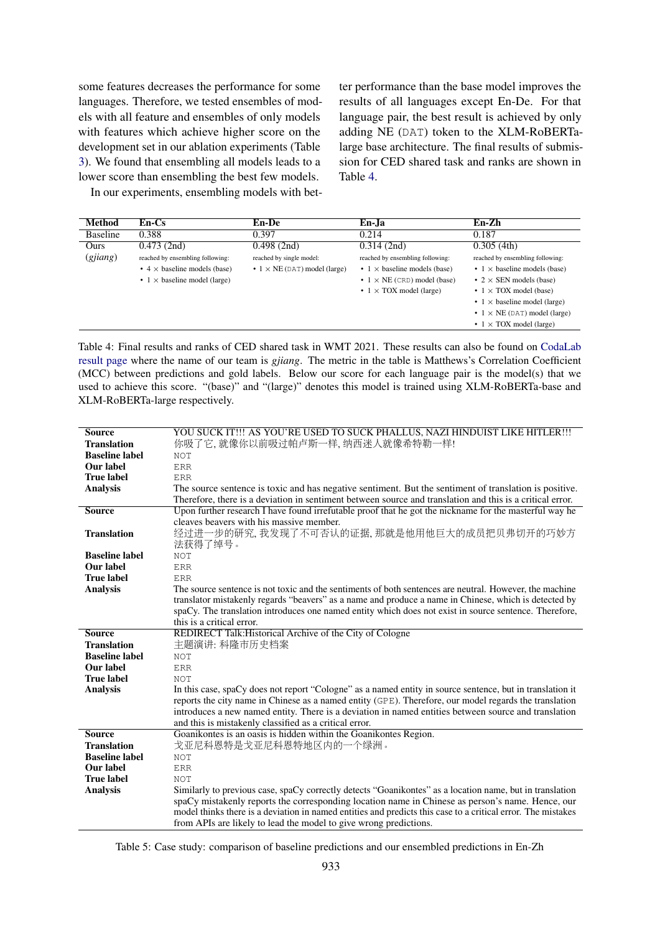some features decreases the performance for some languages. Therefore, we tested ensembles of models with all feature and ensembles of only models with features which achieve higher score on the development set in our ablation experiments (Table [3\)](#page-4-2). We found that ensembling all models leads to a lower score than ensembling the best few models.

In our experiments, ensembling models with bet-

ter performance than the base model improves the results of all languages except En-De. For that language pair, the best result is achieved by only adding NE (DAT) token to the XLM-RoBERTalarge base architecture. The final results of submission for CED shared task and ranks are shown in Table [4.](#page-5-0)

<span id="page-5-0"></span>

| <b>Method</b> | $En-Cs$                                     | <b>En-De</b>                                | En-Ja                                     | En-Zh                                       |
|---------------|---------------------------------------------|---------------------------------------------|-------------------------------------------|---------------------------------------------|
| Baseline      | 0.388                                       | 0.397                                       | 0.214                                     | 0.187                                       |
| Ours          | $0.473$ (2nd)                               | 0.498(2nd)                                  | 0.314(2nd)                                | 0.305(4th)                                  |
| (gjiang)      | reached by ensembling following:            | reached by single model:                    | reached by ensembling following:          | reached by ensembling following:            |
|               | $\bullet$ 4 $\times$ baseline models (base) | $\bullet$ 1 $\times$ NE (DAT) model (large) | $\cdot$ 1 $\times$ baseline models (base) | $\cdot$ 1 $\times$ baseline models (base)   |
|               | $\cdot$ 1 $\times$ baseline model (large)   |                                             | $\cdot$ 1 $\times$ NE (CRD) model (base)  | • $2 \times$ SEN models (base)              |
|               |                                             |                                             | • $1 \times$ TOX model (large)            | $\cdot$ 1 $\times$ TOX model (base)         |
|               |                                             |                                             |                                           | $\cdot$ 1 $\times$ baseline model (large)   |
|               |                                             |                                             |                                           | $\bullet$ 1 $\times$ NE (DAT) model (large) |
|               |                                             |                                             |                                           | $\cdot$ 1 $\times$ TOX model (large)        |

Table 4: Final results and ranks of CED shared task in WMT 2021. These results can also be found on [CodaLab](https://competitions.codalab.org/competitions/33414#results) [result page](https://competitions.codalab.org/competitions/33414#results) where the name of our team is *gjiang*. The metric in the table is Matthews's Correlation Coefficient (MCC) between predictions and gold labels. Below our score for each language pair is the model(s) that we used to achieve this score. "(base)" and "(large)" denotes this model is trained using XLM-RoBERTa-base and XLM-RoBERTa-large respectively.

| <b>Source</b>         | YOU SUCK IT!!! AS YOU'RE USED TO SUCK PHALLUS, NAZI HINDUIST LIKE HITLER!!!                                  |
|-----------------------|--------------------------------------------------------------------------------------------------------------|
| <b>Translation</b>    | 你吸了它,就像你以前吸过帕卢斯一样,纳西迷人就像希特勒一样!                                                                               |
| <b>Baseline label</b> | <b>NOT</b>                                                                                                   |
| Our label             | <b>ERR</b>                                                                                                   |
| <b>True label</b>     | <b>ERR</b>                                                                                                   |
| <b>Analysis</b>       | The source sentence is toxic and has negative sentiment. But the sentiment of translation is positive.       |
|                       | Therefore, there is a deviation in sentiment between source and translation and this is a critical error.    |
| <b>Source</b>         | Upon further research I have found irrefutable proof that he got the nickname for the masterful way he       |
|                       | cleaves beavers with his massive member.                                                                     |
| <b>Translation</b>    | 经过进一步的研究, 我发现了不可否认的证据, 那就是他用他巨大的成员把贝弗切开的巧妙方                                                                  |
|                       | 法获得了绰号。                                                                                                      |
| <b>Baseline label</b> | <b>NOT</b>                                                                                                   |
| Our label             | <b>ERR</b>                                                                                                   |
| <b>True label</b>     | <b>ERR</b>                                                                                                   |
| <b>Analysis</b>       | The source sentence is not toxic and the sentiments of both sentences are neutral. However, the machine      |
|                       | translator mistakenly regards "beavers" as a name and produce a name in Chinese, which is detected by        |
|                       | spaCy. The translation introduces one named entity which does not exist in source sentence. Therefore,       |
|                       | this is a critical error.                                                                                    |
| <b>Source</b>         | REDIRECT Talk: Historical Archive of the City of Cologne                                                     |
| <b>Translation</b>    | 主题演讲: 科隆市历史档案                                                                                                |
| <b>Baseline label</b> | <b>NOT</b>                                                                                                   |
| Our label             | <b>ERR</b>                                                                                                   |
| <b>True label</b>     | <b>NOT</b>                                                                                                   |
| <b>Analysis</b>       | In this case, spaCy does not report "Cologne" as a named entity in source sentence, but in translation it    |
|                       | reports the city name in Chinese as a named entity (GPE). Therefore, our model regards the translation       |
|                       | introduces a new named entity. There is a deviation in named entities between source and translation         |
|                       | and this is mistakenly classified as a critical error.                                                       |
| <b>Source</b>         | Goanikontes is an oasis is hidden within the Goanikontes Region.                                             |
| <b>Translation</b>    | 戈亚尼科恩特是戈亚尼科恩特地区内的一个绿洲。                                                                                       |
| <b>Baseline label</b> | <b>NOT</b>                                                                                                   |
| Our label             | <b>ERR</b>                                                                                                   |
| <b>True label</b>     | <b>NOT</b>                                                                                                   |
| <b>Analysis</b>       | Similarly to previous case, spaCy correctly detects "Goanikontes" as a location name, but in translation     |
|                       | spaCy mistakenly reports the corresponding location name in Chinese as person's name. Hence, our             |
|                       | model thinks there is a deviation in named entities and predicts this case to a critical error. The mistakes |
|                       | from APIs are likely to lead the model to give wrong predictions.                                            |

Table 5: Case study: comparison of baseline predictions and our ensembled predictions in En-Zh